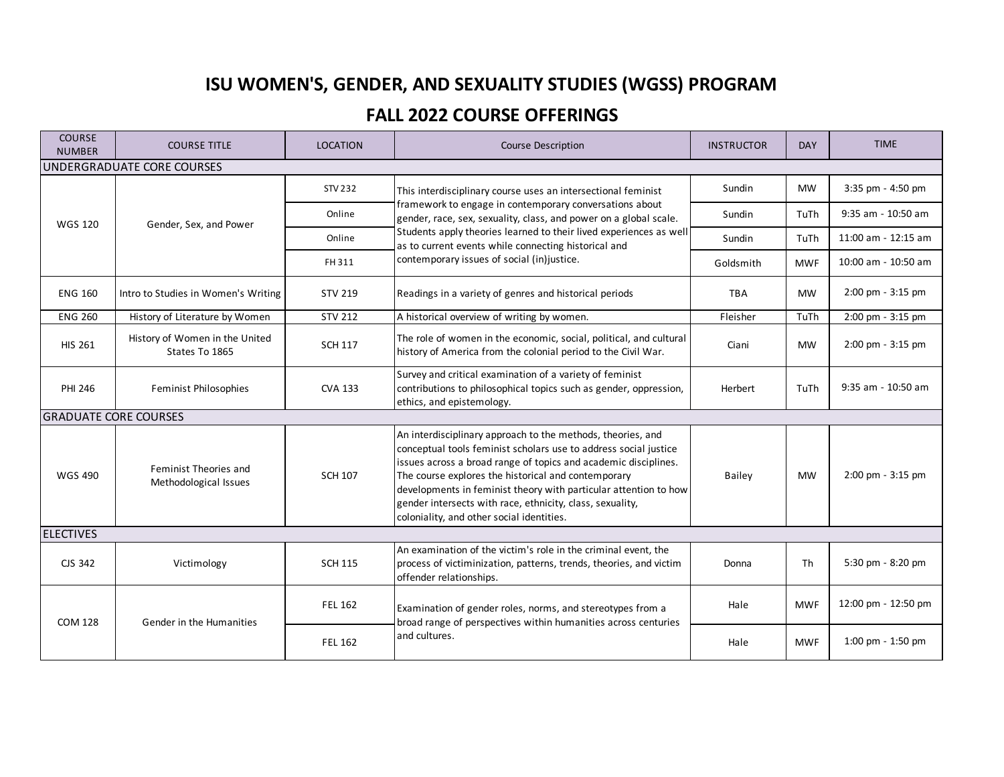## **ISU WOMEN'S, GENDER, AND SEXUALITY STUDIES (WGSS) PROGRAM**

## **FALL 2022 COURSE OFFERINGS**

| <b>COURSE</b><br><b>NUMBER</b> | <b>COURSE TITLE</b>                              | <b>LOCATION</b>                  | <b>Course Description</b>                                                                                                                                                                                                                                                                                                                                                                                                               | <b>INSTRUCTOR</b> | <b>DAY</b> | <b>TIME</b>         |  |
|--------------------------------|--------------------------------------------------|----------------------------------|-----------------------------------------------------------------------------------------------------------------------------------------------------------------------------------------------------------------------------------------------------------------------------------------------------------------------------------------------------------------------------------------------------------------------------------------|-------------------|------------|---------------------|--|
| UNDERGRADUATE CORE COURSES     |                                                  |                                  |                                                                                                                                                                                                                                                                                                                                                                                                                                         |                   |            |                     |  |
| <b>WGS 120</b>                 | Gender, Sex, and Power                           | STV 232                          | This interdisciplinary course uses an intersectional feminist<br>framework to engage in contemporary conversations about<br>gender, race, sex, sexuality, class, and power on a global scale.<br>Students apply theories learned to their lived experiences as well<br>as to current events while connecting historical and<br>contemporary issues of social (in)justice.                                                               | Sundin            | <b>MW</b>  | 3:35 pm - 4:50 pm   |  |
|                                |                                                  | Online                           |                                                                                                                                                                                                                                                                                                                                                                                                                                         | Sundin            | TuTh       | 9:35 am - 10:50 am  |  |
|                                |                                                  | Online                           |                                                                                                                                                                                                                                                                                                                                                                                                                                         | Sundin            | TuTh       | 11:00 am - 12:15 am |  |
|                                |                                                  | FH 311                           |                                                                                                                                                                                                                                                                                                                                                                                                                                         | Goldsmith         | <b>MWF</b> | 10:00 am - 10:50 am |  |
| <b>ENG 160</b>                 | Intro to Studies in Women's Writing              | <b>STV 219</b>                   | Readings in a variety of genres and historical periods                                                                                                                                                                                                                                                                                                                                                                                  | <b>TRA</b>        | <b>MW</b>  | 2:00 pm - 3:15 pm   |  |
| <b>ENG 260</b>                 | History of Literature by Women                   | <b>STV 212</b>                   | A historical overview of writing by women.                                                                                                                                                                                                                                                                                                                                                                                              | Fleisher          | TuTh       | 2:00 pm - 3:15 pm   |  |
| <b>HIS 261</b>                 | History of Women in the United<br>States To 1865 | <b>SCH 117</b>                   | The role of women in the economic, social, political, and cultural<br>history of America from the colonial period to the Civil War.                                                                                                                                                                                                                                                                                                     | Ciani             | <b>MW</b>  | 2:00 pm - 3:15 pm   |  |
| PHI 246                        | Feminist Philosophies                            | <b>CVA 133</b>                   | Survey and critical examination of a variety of feminist<br>contributions to philosophical topics such as gender, oppression,<br>ethics, and epistemology.                                                                                                                                                                                                                                                                              | Herbert           | TuTh       | 9:35 am - 10:50 am  |  |
| <b>GRADUATE CORE COURSES</b>   |                                                  |                                  |                                                                                                                                                                                                                                                                                                                                                                                                                                         |                   |            |                     |  |
| <b>WGS 490</b>                 | Feminist Theories and<br>Methodological Issues   | <b>SCH 107</b>                   | An interdisciplinary approach to the methods, theories, and<br>conceptual tools feminist scholars use to address social justice<br>issues across a broad range of topics and academic disciplines.<br>The course explores the historical and contemporary<br>developments in feminist theory with particular attention to how<br>gender intersects with race, ethnicity, class, sexuality,<br>coloniality, and other social identities. | <b>Bailey</b>     | <b>MW</b>  | 2:00 pm - 3:15 pm   |  |
| <b>ELECTIVES</b>               |                                                  |                                  |                                                                                                                                                                                                                                                                                                                                                                                                                                         |                   |            |                     |  |
| CJS 342                        | Victimology                                      | <b>SCH 115</b>                   | An examination of the victim's role in the criminal event, the<br>process of victiminization, patterns, trends, theories, and victim<br>offender relationships.                                                                                                                                                                                                                                                                         | Donna             | Th         | 5:30 pm - 8:20 pm   |  |
| <b>COM 128</b>                 | Gender in the Humanities                         | <b>FEL 162</b><br><b>FEL 162</b> | Examination of gender roles, norms, and stereotypes from a<br>broad range of perspectives within humanities across centuries                                                                                                                                                                                                                                                                                                            | Hale              | <b>MWF</b> | 12:00 pm - 12:50 pm |  |
|                                |                                                  |                                  | and cultures.                                                                                                                                                                                                                                                                                                                                                                                                                           | Hale              | <b>MWF</b> | 1:00 pm - 1:50 pm   |  |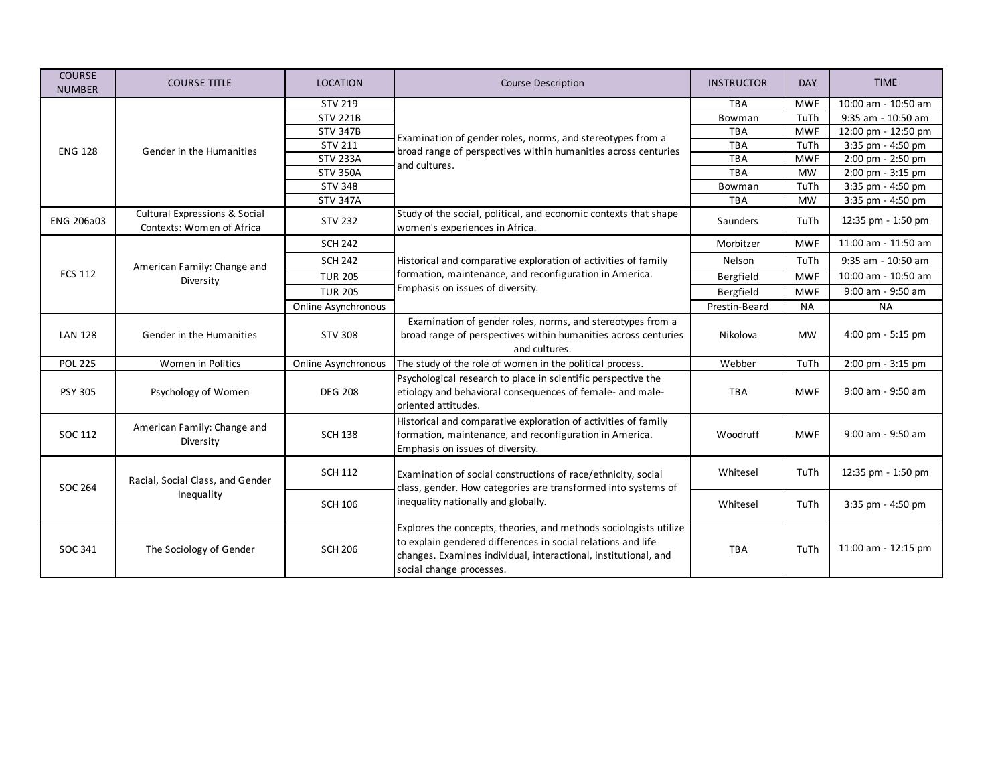| <b>COURSE</b><br><b>NUMBER</b> | <b>COURSE TITLE</b>                                        | <b>LOCATION</b>     | <b>Course Description</b>                                                                                                                                                                                                        | <b>INSTRUCTOR</b> | <b>DAY</b> | <b>TIME</b>         |
|--------------------------------|------------------------------------------------------------|---------------------|----------------------------------------------------------------------------------------------------------------------------------------------------------------------------------------------------------------------------------|-------------------|------------|---------------------|
| <b>ENG 128</b>                 | Gender in the Humanities                                   | <b>STV 219</b>      | Examination of gender roles, norms, and stereotypes from a<br>broad range of perspectives within humanities across centuries<br>and cultures.                                                                                    | <b>TBA</b>        | <b>MWF</b> | 10:00 am - 10:50 am |
|                                |                                                            | <b>STV 221B</b>     |                                                                                                                                                                                                                                  | Bowman            | TuTh       | 9:35 am - 10:50 am  |
|                                |                                                            | <b>STV 347B</b>     |                                                                                                                                                                                                                                  | <b>TBA</b>        | <b>MWF</b> | 12:00 pm - 12:50 pm |
|                                |                                                            | <b>STV 211</b>      |                                                                                                                                                                                                                                  | <b>TBA</b>        | TuTh       | 3:35 pm - 4:50 pm   |
|                                |                                                            | <b>STV 233A</b>     |                                                                                                                                                                                                                                  | <b>TBA</b>        | <b>MWF</b> | 2:00 pm - 2:50 pm   |
|                                |                                                            | <b>STV 350A</b>     |                                                                                                                                                                                                                                  | <b>TBA</b>        | <b>MW</b>  | 2:00 pm - 3:15 pm   |
|                                |                                                            | <b>STV 348</b>      |                                                                                                                                                                                                                                  | Bowman            | TuTh       | 3:35 pm - 4:50 pm   |
|                                |                                                            | <b>STV 347A</b>     |                                                                                                                                                                                                                                  | <b>TBA</b>        | <b>MW</b>  | 3:35 pm - 4:50 pm   |
| <b>ENG 206a03</b>              | Cultural Expressions & Social<br>Contexts: Women of Africa | <b>STV 232</b>      | Study of the social, political, and economic contexts that shape<br>women's experiences in Africa.                                                                                                                               | Saunders          | TuTh       | 12:35 pm - 1:50 pm  |
|                                |                                                            | <b>SCH 242</b>      |                                                                                                                                                                                                                                  | Morbitzer         | <b>MWF</b> | 11:00 am - 11:50 am |
|                                | American Family: Change and                                | <b>SCH 242</b>      | Historical and comparative exploration of activities of family                                                                                                                                                                   | Nelson            | TuTh       | 9:35 am - 10:50 am  |
| <b>FCS 112</b>                 | Diversity                                                  | <b>TUR 205</b>      | formation, maintenance, and reconfiguration in America.<br>Emphasis on issues of diversity.                                                                                                                                      | Bergfield         | <b>MWF</b> | 10:00 am - 10:50 am |
|                                |                                                            | <b>TUR 205</b>      |                                                                                                                                                                                                                                  | Bergfield         | <b>MWF</b> | 9:00 am - 9:50 am   |
|                                |                                                            | Online Asynchronous |                                                                                                                                                                                                                                  | Prestin-Beard     | <b>NA</b>  | <b>NA</b>           |
| <b>LAN 128</b>                 | Gender in the Humanities                                   | <b>STV 308</b>      | Examination of gender roles, norms, and stereotypes from a<br>broad range of perspectives within humanities across centuries<br>and cultures.                                                                                    | Nikolova          | <b>MW</b>  | 4:00 pm $-5:15$ pm  |
| <b>POL 225</b>                 | Women in Politics                                          | Online Asynchronous | The study of the role of women in the political process.                                                                                                                                                                         | Webber            | TuTh       | 2:00 pm - 3:15 pm   |
| <b>PSY 305</b>                 | Psychology of Women                                        | <b>DEG 208</b>      | Psychological research to place in scientific perspective the<br>etiology and behavioral consequences of female- and male-<br>oriented attitudes.                                                                                | <b>TBA</b>        | <b>MWF</b> | 9:00 am - 9:50 am   |
| SOC 112                        | American Family: Change and<br>Diversity                   | <b>SCH 138</b>      | Historical and comparative exploration of activities of family<br>formation, maintenance, and reconfiguration in America.<br>Emphasis on issues of diversity.                                                                    | Woodruff          | <b>MWF</b> | 9:00 am - 9:50 am   |
| <b>SOC 264</b>                 | Racial, Social Class, and Gender<br>Inequality             | <b>SCH 112</b>      | Examination of social constructions of race/ethnicity, social<br>class, gender. How categories are transformed into systems of<br>inequality nationally and globally.                                                            | Whitesel          | TuTh       | 12:35 pm - 1:50 pm  |
|                                |                                                            | <b>SCH 106</b>      |                                                                                                                                                                                                                                  | Whitesel          | TuTh       | 3:35 pm - 4:50 pm   |
| SOC 341                        | The Sociology of Gender                                    | <b>SCH 206</b>      | Explores the concepts, theories, and methods sociologists utilize<br>to explain gendered differences in social relations and life<br>changes. Examines individual, interactional, institutional, and<br>social change processes. | <b>TBA</b>        | TuTh       | 11:00 am - 12:15 pm |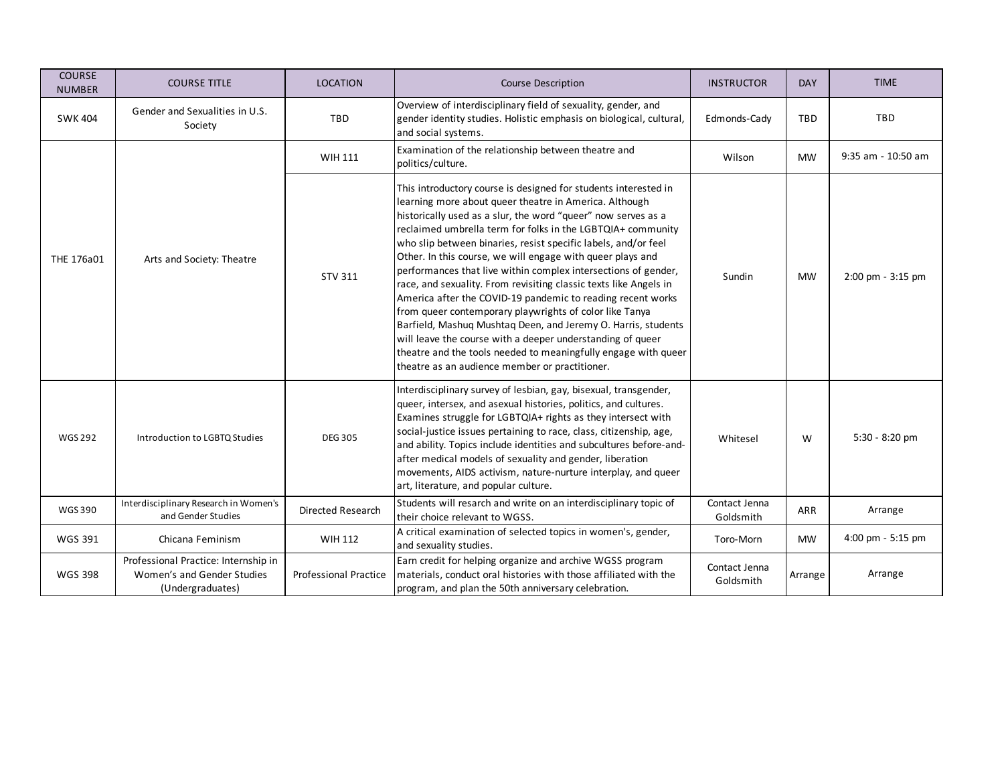| <b>COURSE</b><br><b>NUMBER</b> | <b>COURSE TITLE</b>                                                                    | <b>LOCATION</b>              | <b>Course Description</b>                                                                                                                                                                                                                                                                                                                                                                                                                                                                                                                                                                                                                                                                                                                                                                                                                                                                                     | <b>INSTRUCTOR</b>          | <b>DAY</b> | <b>TIME</b>        |
|--------------------------------|----------------------------------------------------------------------------------------|------------------------------|---------------------------------------------------------------------------------------------------------------------------------------------------------------------------------------------------------------------------------------------------------------------------------------------------------------------------------------------------------------------------------------------------------------------------------------------------------------------------------------------------------------------------------------------------------------------------------------------------------------------------------------------------------------------------------------------------------------------------------------------------------------------------------------------------------------------------------------------------------------------------------------------------------------|----------------------------|------------|--------------------|
| <b>SWK 404</b>                 | Gender and Sexualities in U.S.<br>Society                                              | <b>TBD</b>                   | Overview of interdisciplinary field of sexuality, gender, and<br>gender identity studies. Holistic emphasis on biological, cultural,<br>and social systems.                                                                                                                                                                                                                                                                                                                                                                                                                                                                                                                                                                                                                                                                                                                                                   | Edmonds-Cady               | TBD        | <b>TBD</b>         |
|                                |                                                                                        | WIH 111                      | Examination of the relationship between theatre and<br>politics/culture.                                                                                                                                                                                                                                                                                                                                                                                                                                                                                                                                                                                                                                                                                                                                                                                                                                      | Wilson                     | <b>MW</b>  | 9:35 am - 10:50 am |
| THE 176a01                     | Arts and Society: Theatre                                                              | <b>STV 311</b>               | This introductory course is designed for students interested in<br>learning more about queer theatre in America. Although<br>historically used as a slur, the word "queer" now serves as a<br>reclaimed umbrella term for folks in the LGBTQIA+ community<br>who slip between binaries, resist specific labels, and/or feel<br>Other. In this course, we will engage with queer plays and<br>performances that live within complex intersections of gender,<br>race, and sexuality. From revisiting classic texts like Angels in<br>America after the COVID-19 pandemic to reading recent works<br>from queer contemporary playwrights of color like Tanya<br>Barfield, Mashuq Mushtaq Deen, and Jeremy O. Harris, students<br>will leave the course with a deeper understanding of queer<br>theatre and the tools needed to meaningfully engage with queer<br>theatre as an audience member or practitioner. | Sundin                     | <b>MW</b>  | 2:00 pm - 3:15 pm  |
| <b>WGS 292</b>                 | Introduction to LGBTQ Studies                                                          | <b>DEG 305</b>               | Interdisciplinary survey of lesbian, gay, bisexual, transgender,<br>queer, intersex, and asexual histories, politics, and cultures.<br>Examines struggle for LGBTQIA+ rights as they intersect with<br>social-justice issues pertaining to race, class, citizenship, age,<br>and ability. Topics include identities and subcultures before-and-<br>after medical models of sexuality and gender, liberation<br>movements, AIDS activism, nature-nurture interplay, and queer<br>art, literature, and popular culture.                                                                                                                                                                                                                                                                                                                                                                                         | Whitesel                   | W          | 5:30 - 8:20 pm     |
| <b>WGS390</b>                  | Interdisciplinary Research in Women's<br>and Gender Studies                            | <b>Directed Research</b>     | Students will resarch and write on an interdisciplinary topic of<br>their choice relevant to WGSS.                                                                                                                                                                                                                                                                                                                                                                                                                                                                                                                                                                                                                                                                                                                                                                                                            | Contact Jenna<br>Goldsmith | ARR        | Arrange            |
| <b>WGS 391</b>                 | Chicana Feminism                                                                       | WIH 112                      | A critical examination of selected topics in women's, gender,<br>and sexuality studies.                                                                                                                                                                                                                                                                                                                                                                                                                                                                                                                                                                                                                                                                                                                                                                                                                       | Toro-Morn                  | <b>MW</b>  | 4:00 pm - 5:15 pm  |
| <b>WGS 398</b>                 | Professional Practice: Internship in<br>Women's and Gender Studies<br>(Undergraduates) | <b>Professional Practice</b> | Earn credit for helping organize and archive WGSS program<br>materials, conduct oral histories with those affiliated with the<br>program, and plan the 50th anniversary celebration.                                                                                                                                                                                                                                                                                                                                                                                                                                                                                                                                                                                                                                                                                                                          | Contact Jenna<br>Goldsmith | Arrange    | Arrange            |